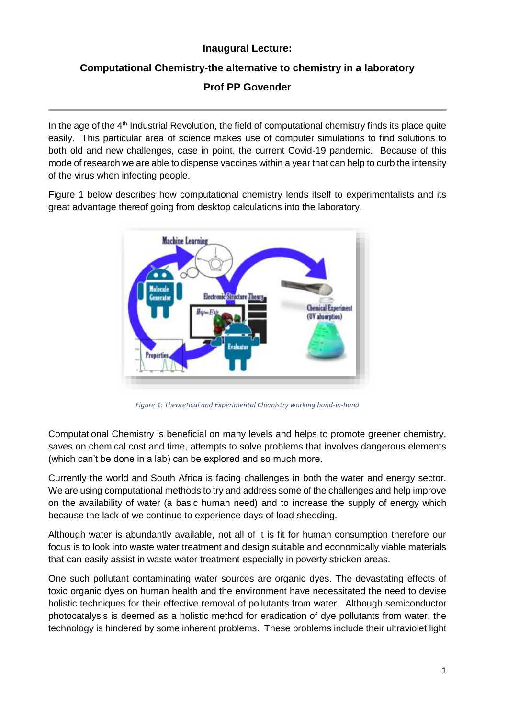## **Inaugural Lecture:**

## **Computational Chemistry-the alternative to chemistry in a laboratory**

**Prof PP Govender**

In the age of the 4<sup>th</sup> Industrial Revolution, the field of computational chemistry finds its place quite easily. This particular area of science makes use of computer simulations to find solutions to both old and new challenges, case in point, the current Covid-19 pandemic. Because of this mode of research we are able to dispense vaccines within a year that can help to curb the intensity of the virus when infecting people.

Figure 1 below describes how computational chemistry lends itself to experimentalists and its great advantage thereof going from desktop calculations into the laboratory.



*Figure 1: Theoretical and Experimental Chemistry working hand-in-hand*

Computational Chemistry is beneficial on many levels and helps to promote greener chemistry, saves on chemical cost and time, attempts to solve problems that involves dangerous elements (which can't be done in a lab) can be explored and so much more.

Currently the world and South Africa is facing challenges in both the water and energy sector. We are using computational methods to try and address some of the challenges and help improve on the availability of water (a basic human need) and to increase the supply of energy which because the lack of we continue to experience days of load shedding.

Although water is abundantly available, not all of it is fit for human consumption therefore our focus is to look into waste water treatment and design suitable and economically viable materials that can easily assist in waste water treatment especially in poverty stricken areas.

One such pollutant contaminating water sources are organic dyes. The devastating effects of toxic organic dyes on human health and the environment have necessitated the need to devise holistic techniques for their effective removal of pollutants from water. Although semiconductor photocatalysis is deemed as a holistic method for eradication of dye pollutants from water, the technology is hindered by some inherent problems. These problems include their ultraviolet light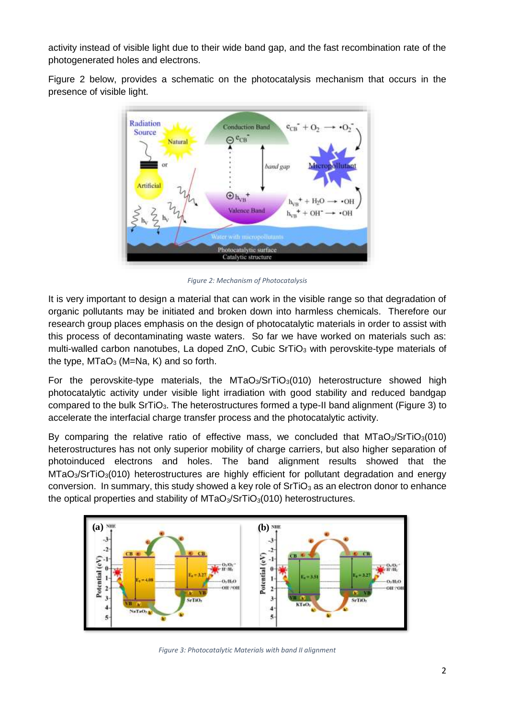activity instead of visible light due to their wide band gap, and the fast recombination rate of the photogenerated holes and electrons.

Figure 2 below, provides a schematic on the photocatalysis mechanism that occurs in the presence of visible light.



*Figure 2: Mechanism of Photocatalysis*

It is very important to design a material that can work in the visible range so that degradation of organic pollutants may be initiated and broken down into harmless chemicals. Therefore our research group places emphasis on the design of photocatalytic materials in order to assist with this process of decontaminating waste waters. So far we have worked on materials such as: multi-walled carbon nanotubes, La doped ZnO, Cubic SrTiO<sub>3</sub> with perovskite-type materials of the type,  $MTaO<sub>3</sub>$  (M=Na, K) and so forth.

For the perovskite-type materials, the  $MTaO<sub>3</sub>/STiO<sub>3</sub>(010)$  heterostructure showed high photocatalytic activity under visible light irradiation with good stability and reduced bandgap compared to the bulk SrTiO<sub>3</sub>. The heterostructures formed a type-II band alignment (Figure 3) to accelerate the interfacial charge transfer process and the photocatalytic activity.

By comparing the relative ratio of effective mass, we concluded that  $MTaO<sub>3</sub>/STIO<sub>3</sub>(010)$ heterostructures has not only superior mobility of charge carriers, but also higher separation of photoinduced electrons and holes. The band alignment results showed that the  $MTaO<sub>3</sub>/STIO<sub>3</sub>(010)$  heterostructures are highly efficient for pollutant degradation and energy conversion. In summary, this study showed a key role of  $SrTiO<sub>3</sub>$  as an electron donor to enhance the optical properties and stability of  $MTaO<sub>3</sub>/STiO<sub>3</sub>(010)$  heterostructures.



*Figure 3: Photocatalytic Materials with band II alignment*